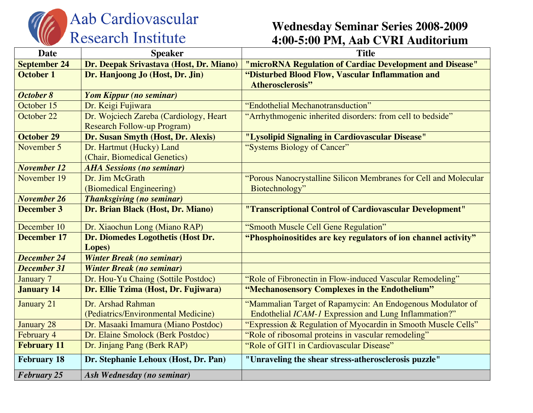

## Aab Cardiovascular<br>Research Institute

## **Wednesday Seminar Series 2008-2009 4:00-5:00 PM, Aab CVRI Auditorium**

| <b>Date</b>         | <b>Speaker</b>                          | <b>Title</b>                                                     |
|---------------------|-----------------------------------------|------------------------------------------------------------------|
| <b>September 24</b> | Dr. Deepak Srivastava (Host, Dr. Miano) | "microRNA Regulation of Cardiac Development and Disease"         |
| <b>October 1</b>    | Dr. Hanjoong Jo (Host, Dr. Jin)         | "Disturbed Blood Flow, Vascular Inflammation and                 |
|                     |                                         | <b>Atherosclerosis"</b>                                          |
| October 8           | Yom Kippur (no seminar)                 |                                                                  |
| October 15          | Dr. Keigi Fujiwara                      | "Endothelial Mechanotransduction"                                |
| October 22          | Dr. Wojciech Zareba (Cardiology, Heart  | "Arrhythmogenic inherited disorders: from cell to bedside"       |
|                     | <b>Research Follow-up Program)</b>      |                                                                  |
| <b>October 29</b>   | Dr. Susan Smyth (Host, Dr. Alexis)      | "Lysolipid Signaling in Cardiovascular Disease"                  |
| November 5          | Dr. Hartmut (Hucky) Land                | "Systems Biology of Cancer"                                      |
|                     | (Chair, Biomedical Genetics)            |                                                                  |
| <b>November 12</b>  | <b>AHA Sessions (no seminar)</b>        |                                                                  |
| November 19         | Dr. Jim McGrath                         | "Porous Nanocrystalline Silicon Membranes for Cell and Molecular |
|                     | (Biomedical Engineering)                | Biotechnology"                                                   |
| <b>November 26</b>  | <b>Thanksgiving (no seminar)</b>        |                                                                  |
| <b>December 3</b>   | Dr. Brian Black (Host, Dr. Miano)       | "Transcriptional Control of Cardiovascular Development"          |
| December 10         | Dr. Xiaochun Long (Miano RAP)           | "Smooth Muscle Cell Gene Regulation"                             |
| <b>December 17</b>  | Dr. Diomedes Logothetis (Host Dr.       | "Phosphoinositides are key regulators of ion channel activity"   |
|                     | Lopes)                                  |                                                                  |
| <b>December 24</b>  | <b>Winter Break (no seminar)</b>        |                                                                  |
| <b>December 31</b>  | <b>Winter Break (no seminar)</b>        |                                                                  |
| <b>January 7</b>    | Dr. Hou-Yu Chaing (Sottile Postdoc)     | "Role of Fibronectin in Flow-induced Vascular Remodeling"        |
| <b>January 14</b>   | Dr. Ellie Tzima (Host, Dr. Fujiwara)    | "Mechanosensory Complexes in the Endothelium"                    |
| <b>January 21</b>   | Dr. Arshad Rahman                       | "Mammalian Target of Rapamycin: An Endogenous Modulator of       |
|                     | (Pediatrics/Environmental Medicine)     | Endothelial ICAM-1 Expression and Lung Inflammation?"            |
| <b>January 28</b>   | Dr. Masaaki Imamura (Miano Postdoc)     | "Expression & Regulation of Myocardin in Smooth Muscle Cells"    |
| February 4          | Dr. Elaine Smolock (Berk Postdoc)       | "Role of ribosomal proteins in vascular remodeling"              |
| <b>February 11</b>  | Dr. Jinjang Pang (Berk RAP)             | "Role of GIT1 in Cardiovascular Disease"                         |
| <b>February 18</b>  | Dr. Stephanie Lehoux (Host, Dr. Pan)    | "Unraveling the shear stress-atherosclerosis puzzle"             |
| <b>February 25</b>  | Ash Wednesday (no seminar)              |                                                                  |